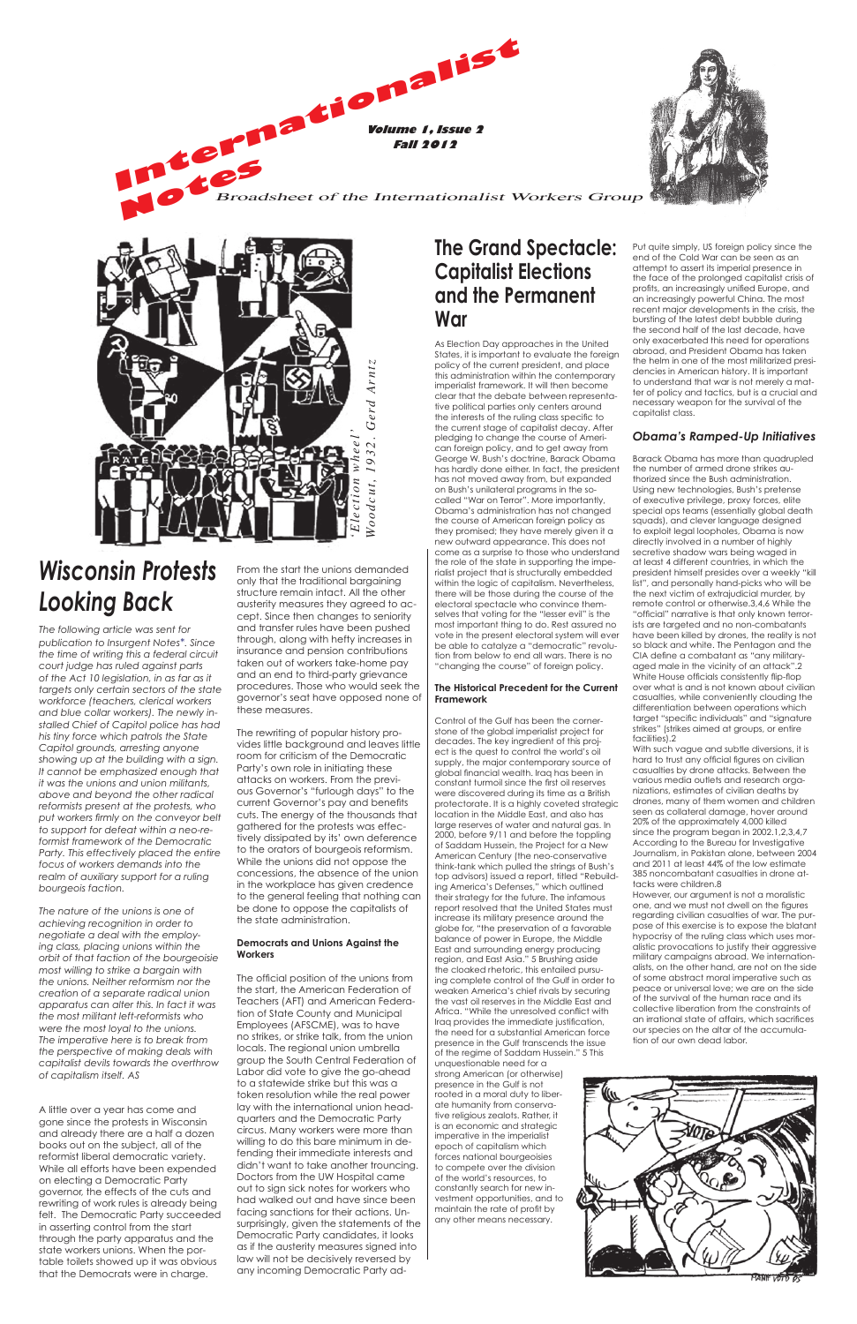**Volume 1, Issue 2 Fall 2012**



**Internet & Polyment & Polyment Strain 2012 Notes** Broadsheet of the Internationalist Workers Group

# **The Grand Spectacle: Capitalist Elections and the Permanent War**

As Election Day approaches in the United States, it is important to evaluate the foreian policy of the current president, and place this administration within the contemporary imperialist framework. It will then become clear that the debate between representative political parties only centers around the interests of the ruling class specific to the current stage of capitalist decay. After pledging to change the course of American foreign policy, and to get away from George W. Bush's doctrine, Barack Obama has hardly done either. In fact, the president has not moved away from, but expanded on Bush's unilateral programs in the socalled "War on Terror". More importantly, Obama's administration has not changed the course of American foreign policy as they promised; they have merely given it a new outward appearance. This does not come as a surprise to those who understand the role of the state in supporting the imperialist project that is structurally embedded within the logic of capitalism. Nevertheless, there will be those during the course of the electoral spectacle who convince themselves that voting for the "lesser evil" is the most important thing to do. Rest assured no vote in the present electoral system will ever be able to catalyze a "democratic" revolution from below to end all wars. There is no "changing the course" of foreign policy.

## **The Historical Precedent for the Current Framework**

Control of the Gulf has been the cornerstone of the global imperialist project for decades. The key ingredient of this project is the quest to control the world's oil supply, the major contemporary source of global financial wealth. Iraq has been in constant turmoil since the first oil reserves were discovered during its time as a British protectorate. It is a highly coveted strategic location in the Middle East, and also has large reserves of water and natural gas. In 2000, before 9/11 and before the toppling of Saddam Hussein, the Project for a New American Century (the neo-conservative think-tank which pulled the strings of Bush's top advisors) issued a report, titled "Rebuilding America's Defenses," which outlined their strategy for the future. The infamous report resolved that the United States must increase its military presence around the globe for, "the preservation of a favorable balance of power in Europe, the Middle East and surrounding energy producing region, and East Asia." 5 Brushing aside the cloaked rhetoric, this entailed pursuing complete control of the Gulf in order to weaken America's chief rivals by securing the vast oil reserves in the Middle East and Africa. "While the unresolved conflict with Iraq provides the immediate justification, the need for a substantial American force presence in the Gulf transcends the issue of the regime of Saddam Hussein." 5 This unquestionable need for a strong American (or otherwise) presence in the Gulf is not rooted in a moral duty to liberate humanity from conservative religious zealots. Rather, it is an economic and strategic imperative in the imperialist epoch of capitalism which forces national bourgeoisies to compete over the division of the world's resources, to constantly search for new investment opportunities, and to maintain the rate of profit by any other means necessary.

Put quite simply, US foreign policy since the end of the Cold War can be seen as an attempt to assert its imperial presence in the face of the prolonged capitalist crisis of profits, an increasingly unified Europe, and an increasingly powerful China. The most recent major developments in the crisis, the bursting of the latest debt bubble during the second half of the last decade, have only exacerbated this need for operations abroad, and President Obama has taken the helm in one of the most militarized presidencies in American history. It is important to understand that war is not merely a matter of policy and tactics, but is a crucial and necessary weapon for the survival of the capitalist class.

# *Obama's Ramped-Up Initiatives*

Barack Obama has more than quadrupled the number of armed drone strikes authorized since the Bush administration. Using new technologies, Bush's pretense of executive privilege, proxy forces, elite special ops teams (essentially global death squads), and clever language designed to exploit legal loopholes, Obama is now directly involved in a number of highly secretive shadow wars being waged in at least 4 different countries, in which the president himself presides over a weekly "kill list", and personally hand-picks who will be the next victim of extrajudicial murder, by remote control or otherwise.3,4,6 While the "official" narrative is that only known terrorists are targeted and no non-combatants have been killed by drones, the reality is not so black and white. The Pentagon and the CIA define a combatant as "any militaryaged male in the vicinity of an attack".2 White House officials consistently flip-flop over what is and is not known about civilian casualties, while conveniently clouding the differentiation between operations which target "specific individuals" and "signature strikes" (strikes aimed at groups, or entire facilities).2

With such vague and subtle diversions, it is hard to trust any official figures on civilian casualties by drone attacks. Between the various media outlets and research organizations, estimates of civilian deaths by drones, many of them women and children seen as collateral damage, hover around 20% of the approximately 4,000 killed since the program began in 2002.1,2,3,4,7 According to the Bureau for Investigative Journalism, in Pakistan alone, between 2004 and 2011 at least 44% of the low estimate 385 noncombatant casualties in drone attacks were children.8

However, our argument is not a moralistic one, and we must not dwell on the figures regarding civilian casualties of war. The purpose of this exercise is to expose the blatant hypocrisy of the ruling class which uses moralistic provocations to justify their aggressive military campaigns abroad. We internationalists, on the other hand, are not on the side of some abstract moral imperative such as peace or universal love; we are on the side of the survival of the human race and its collective liberation from the constraints of an irrational state of affairs, which sacrifices our species on the altar of the accumulation of our own dead labor.



# *Wisconsin Protests Looking Back*

*The following article was sent for publication to Insurgent Notes\*. Since the time of writing this a federal circuit court judge has ruled against parts of the Act 10 legislation, in as far as it targets only certain sectors of the state workforce (teachers, clerical workers and blue collar workers). The newly installed Chief of Capitol police has had his tiny force which patrols the State Capitol grounds, arresting anyone showing up at the building with a sign. It cannot be emphasized enough that it was the unions and union militants, above and beyond the other radical reformists present at the protests, who put workers firmly on the conveyor belt to support for defeat within a neo-reformist framework of the Democratic Party. This effectively placed the entire focus of workers demands into the realm of auxiliary support for a ruling bourgeois faction.* 

*The nature of the unions is one of achieving recognition in order to negotiate a deal with the employing class, placing unions within the orbit of that faction of the bourgeoisie most willing to strike a bargain with the unions. Neither reformism nor the creation of a separate radical union apparatus can alter this. In fact it was the most militant left-reformists who were the most loyal to the unions. The imperative here is to break from the perspective of making deals with capitalist devils towards the overthrow of capitalism itself. AS*

A little over a year has come and gone since the protests in Wisconsin and already there are a half a dozen books out on the subject, all of the reformist liberal democratic variety. While all efforts have been expended on electing a Democratic Party governor, the effects of the cuts and rewriting of work rules is already being felt. The Democratic Party succeeded in asserting control from the start through the party apparatus and the state workers unions. When the portable toilets showed up it was obvious that the Democrats were in charge.

any incoming the state of the unions and the state of the state of the state of the state of the state of the state of the state of the state of the state of the state of the state of the state of the state of the state of The official position of the unions from the start, the American Federation of Teachers (AFT) and American Federation of State County and Municipal Employees (AFSCME), was to have no strikes, or strike talk, from the union locals. The regional union umbrella group the South Central Federation of Labor did vote to give the go-ahead to a statewide strike but this was a token resolution while the real power lay with the international union headquarters and the Democratic Party circus. Many workers were more than willing to do this bare minimum in defending their immediate interests and didn't want to take another trouncing. Doctors from the UW Hospital came out to sign sick notes for workers who had walked out and have since been facing sanctions for their actions. Unsurprisingly, given the statements of the Democratic Party candidates, it looks as if the austerity measures signed into law will not be decisively reversed by any incoming Democratic Party ad-



From the start the unions demanded only that the traditional bargaining structure remain intact. All the other austerity measures they agreed to accept. Since then changes to seniority and transfer rules have been pushed through, along with hefty increases in insurance and pension contributions taken out of workers take-home pay and an end to third-party grievance procedures. Those who would seek the governor's seat have opposed none of these measures.

The rewriting of popular history provides little background and leaves little room for criticism of the Democratic Party's own role in initiating these attacks on workers. From the previous Governor's "furlough days" to the current Governor's pay and benefits cuts. The energy of the thousands that gathered for the protests was effectively dissipated by its' own deference to the orators of bourgeois reformism. While the unions did not oppose the concessions, the absence of the union in the workplace has given credence to the general feeling that nothing can be done to oppose the capitalists of the state administration.

# **Democrats and Unions Against the Workers**